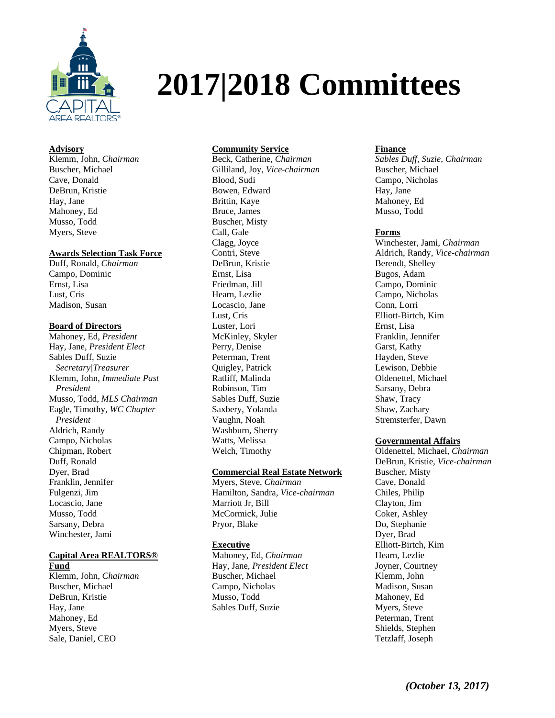

# **2017|2018 Committees**

# **Advisory**

Klemm, John, *Chairman* Buscher, Michael Cave, Donald DeBrun, Kristie Hay, Jane Mahoney, Ed Musso, Todd Myers, Steve

#### **Awards Selection Task Force**

Duff, Ronald, *Chairman* Campo, Dominic Ernst, Lisa Lust, Cris Madison, Susan

# **Board of Directors**

Mahoney, Ed, *President* Hay, Jane, *President Elect* Sables Duff, Suzie *Secretary|Treasurer* Klemm, John, *Immediate Past President*  Musso, Todd, *MLS Chairman* Eagle, Timothy, *WC Chapter President* Aldrich, Randy Campo, Nicholas Chipman, Robert Duff, Ronald Dyer, Brad Franklin, Jennifer Fulgenzi, Jim Locascio, Jane Musso, Todd Sarsany, Debra Winchester, Jami

#### **Capital Area REALTORS® Fund**

Klemm, John, *Chairman* Buscher, Michael DeBrun, Kristie Hay, Jane Mahoney, Ed Myers, Steve Sale, Daniel, CEO

## **Community Service**

Beck, Catherine, *Chairman* Gilliland, Joy, *Vice-chairman* Blood, Sudi Bowen, Edward Brittin, Kaye Bruce, James Buscher, Misty Call, Gale Clagg, Joyce Contri, Steve DeBrun, Kristie Ernst, Lisa Friedman, Jill Hearn, Lezlie Locascio, Jane Lust, Cris Luster, Lori McKinley, Skyler Perry, Denise Peterman, Trent Quigley, Patrick Ratliff, Malinda Robinson, Tim Sables Duff, Suzie Saxbery, Yolanda Vaughn, Noah Washburn, Sherry Watts, Melissa Welch, Timothy

#### **Commercial Real Estate Network**

Myers, Steve, *Chairman* Hamilton, Sandra, *Vice-chairman* Marriott Jr, Bill McCormick, Julie Pryor, Blake

#### **Executive**

Mahoney, Ed, *Chairman* Hay, Jane, *President Elect* Buscher, Michael Campo, Nicholas Musso, Todd Sables Duff, Suzie

# **Finance**

*Sables Duff, Suzie, Chairman*  Buscher, Michael Campo, Nicholas Hay, Jane Mahoney, Ed Musso, Todd

## **Forms**

Winchester, Jami, *Chairman* Aldrich, Randy, *Vice-chairman* Berendt, Shelley Bugos, Adam Campo, Dominic Campo, Nicholas Conn, Lorri Elliott-Birtch, Kim Ernst, Lisa Franklin, Jennifer Garst, Kathy Hayden, Steve Lewison, Debbie Oldenettel, Michael Sarsany, Debra Shaw, Tracy Shaw, Zachary Stremsterfer, Dawn

#### **Governmental Affairs**

Oldenettel, Michael, *Chairman* DeBrun, Kristie, *Vice-chairman* Buscher, Misty Cave, Donald Chiles, Philip Clayton, Jim Coker, Ashley Do, Stephanie Dyer, Brad Elliott-Birtch, Kim Hearn, Lezlie Joyner, Courtney Klemm, John Madison, Susan Mahoney, Ed Myers, Steve Peterman, Trent Shields, Stephen Tetzlaff, Joseph